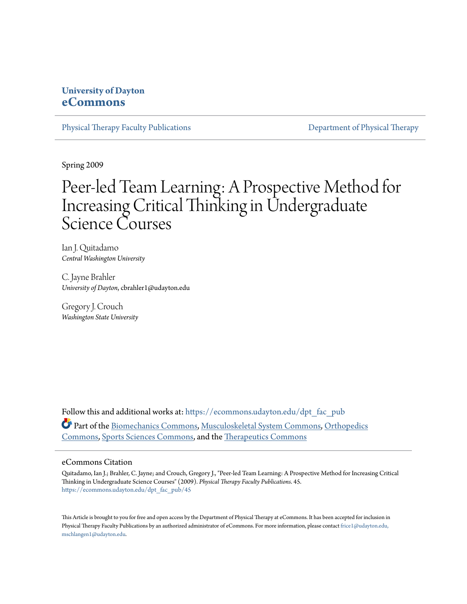## **University of Dayton [eCommons](https://ecommons.udayton.edu?utm_source=ecommons.udayton.edu%2Fdpt_fac_pub%2F45&utm_medium=PDF&utm_campaign=PDFCoverPages)**

[Physical Therapy Faculty Publications](https://ecommons.udayton.edu/dpt_fac_pub?utm_source=ecommons.udayton.edu%2Fdpt_fac_pub%2F45&utm_medium=PDF&utm_campaign=PDFCoverPages) **[Department of Physical Therapy](https://ecommons.udayton.edu/dpt?utm_source=ecommons.udayton.edu%2Fdpt_fac_pub%2F45&utm_medium=PDF&utm_campaign=PDFCoverPages)** 

Spring 2009

## Peer-led Team Learning: A Prospective Method for Increasing Critical Thinking in Undergraduate Science Courses

Ian J. Quitadamo *Central Washington University*

C. Jayne Brahler *University of Dayton*, cbrahler1@udayton.edu

Gregory J. Crouch *Washington State University*

Follow this and additional works at: [https://ecommons.udayton.edu/dpt\\_fac\\_pub](https://ecommons.udayton.edu/dpt_fac_pub?utm_source=ecommons.udayton.edu%2Fdpt_fac_pub%2F45&utm_medium=PDF&utm_campaign=PDFCoverPages) Part of the [Biomechanics Commons,](http://network.bepress.com/hgg/discipline/43?utm_source=ecommons.udayton.edu%2Fdpt_fac_pub%2F45&utm_medium=PDF&utm_campaign=PDFCoverPages) [Musculoskeletal System Commons,](http://network.bepress.com/hgg/discipline/938?utm_source=ecommons.udayton.edu%2Fdpt_fac_pub%2F45&utm_medium=PDF&utm_campaign=PDFCoverPages) [Orthopedics](http://network.bepress.com/hgg/discipline/696?utm_source=ecommons.udayton.edu%2Fdpt_fac_pub%2F45&utm_medium=PDF&utm_campaign=PDFCoverPages) [Commons,](http://network.bepress.com/hgg/discipline/696?utm_source=ecommons.udayton.edu%2Fdpt_fac_pub%2F45&utm_medium=PDF&utm_campaign=PDFCoverPages) [Sports Sciences Commons,](http://network.bepress.com/hgg/discipline/759?utm_source=ecommons.udayton.edu%2Fdpt_fac_pub%2F45&utm_medium=PDF&utm_campaign=PDFCoverPages) and the [Therapeutics Commons](http://network.bepress.com/hgg/discipline/993?utm_source=ecommons.udayton.edu%2Fdpt_fac_pub%2F45&utm_medium=PDF&utm_campaign=PDFCoverPages)

#### eCommons Citation

Quitadamo, Ian J.; Brahler, C. Jayne; and Crouch, Gregory J., "Peer-led Team Learning: A Prospective Method for Increasing Critical Thinking in Undergraduate Science Courses" (2009). *Physical Therapy Faculty Publications*. 45. [https://ecommons.udayton.edu/dpt\\_fac\\_pub/45](https://ecommons.udayton.edu/dpt_fac_pub/45?utm_source=ecommons.udayton.edu%2Fdpt_fac_pub%2F45&utm_medium=PDF&utm_campaign=PDFCoverPages)

This Article is brought to you for free and open access by the Department of Physical Therapy at eCommons. It has been accepted for inclusion in Physical Therapy Faculty Publications by an authorized administrator of eCommons. For more information, please contact [frice1@udayton.edu,](mailto:frice1@udayton.edu,%20mschlangen1@udayton.edu) [mschlangen1@udayton.edu.](mailto:frice1@udayton.edu,%20mschlangen1@udayton.edu)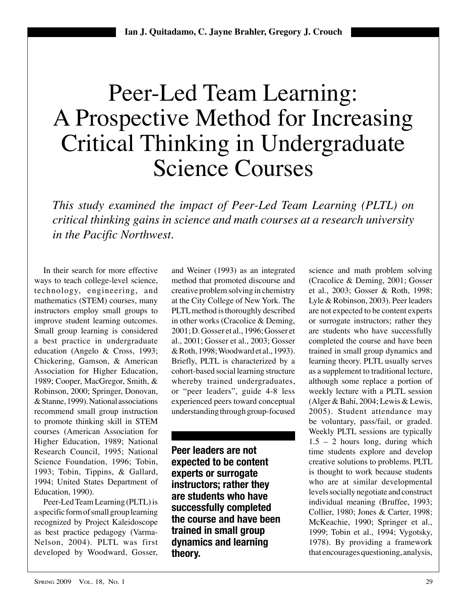# Peer-Led Team Learning: A Prospective Method for Increasing Critical Thinking in Undergraduate Science Courses

*This study examined the impact of Peer-Led Team Learning (PLTL) on critical thinking gains in science and math courses at a research university in the Pacific Northwest.*

In their search for more effective ways to teach college-level science, technology, engineering, and mathematics (STEM) courses, many instructors employ small groups to improve student learning outcomes. Small group learning is considered a best practice in undergraduate education (Angelo & Cross, 1993; Chickering, Gamson, & American Association for Higher Education, 1989; Cooper, MacGregor, Smith, & Robinson, 2000; Springer, Donovan, & Stanne, 1999). National associations recommend small group instruction to promote thinking skill in STEM courses (American Association for Higher Education, 1989; National Research Council, 1995; National Science Foundation, 1996; Tobin, 1993; Tobin, Tippins, & Gallard, 1994; United States Department of Education, 1990).

Peer-Led Team Learning (PLTL) is a specific form of small group learning recognized by Project Kaleidoscope as best practice pedagogy (Varma-Nelson, 2004). PLTL was first developed by Woodward, Gosser, and Weiner (1993) as an integrated method that promoted discourse and creative problem solving in chemistry at the City College of New York. The PLTL method is thoroughly described in other works (Cracolice & Deming, 2001; D. Gosser et al., 1996; Gosser et al., 2001; Gosser et al., 2003; Gosser & Roth, 1998; Woodward et al., 1993). Briefly, PLTL is characterized by a cohort-based social learning structure whereby trained undergraduates, or "peer leaders", guide 4-8 less experienced peers toward conceptual understanding through group-focused

**Peer leaders are not expected to be content experts or surrogate instructors; rather they are students who have successfully completed the course and have been trained in small group dynamics and learning theory.**

science and math problem solving (Cracolice & Deming, 2001; Gosser et al., 2003; Gosser & Roth, 1998; Lyle & Robinson, 2003). Peer leaders are not expected to be content experts or surrogate instructors; rather they are students who have successfully completed the course and have been trained in small group dynamics and learning theory. PLTL usually serves as a supplement to traditional lecture, although some replace a portion of weekly lecture with a PLTL session (Alger & Bahi, 2004; Lewis & Lewis, 2005). Student attendance may be voluntary, pass/fail, or graded. Weekly PLTL sessions are typically  $1.5 - 2$  hours long, during which time students explore and develop creative solutions to problems. PLTL is thought to work because students who are at similar developmental levels socially negotiate and construct individual meaning (Bruffee, 1993; Collier, 1980; Jones & Carter, 1998; McKeachie, 1990; Springer et al., 1999; Tobin et al., 1994; Vygotsky, 1978). By providing a framework that encourages questioning, analysis,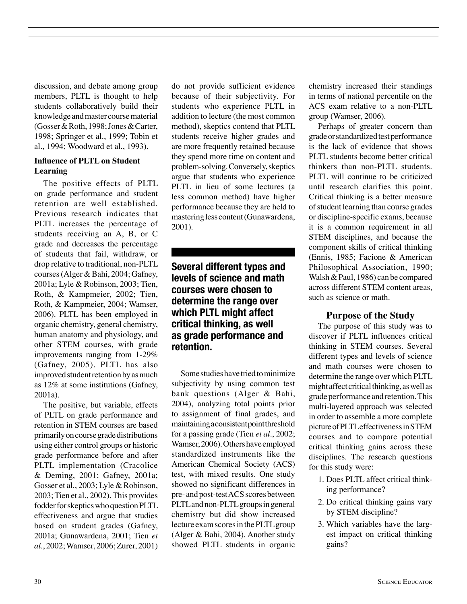discussion, and debate among group members, PLTL is thought to help students collaboratively build their knowledge and master course material (Gosser & Roth, 1998; Jones & Carter, 1998; Springer et al., 1999; Tobin et al., 1994; Woodward et al., 1993).

#### **Influence of PLTL on Student Learning**

The positive effects of PLTL on grade performance and student retention are well established. Previous research indicates that PLTL increases the percentage of students receiving an A, B, or C grade and decreases the percentage of students that fail, withdraw, or drop relative to traditional, non-PLTL courses (Alger & Bahi, 2004; Gafney, 2001a; Lyle & Robinson, 2003; Tien, Roth, & Kampmeier, 2002; Tien, Roth, & Kampmeier, 2004; Wamser, 2006). PLTL has been employed in organic chemistry, general chemistry, human anatomy and physiology, and other STEM courses, with grade improvements ranging from 1-29% (Gafney, 2005). PLTL has also improved student retention by as much as 12% at some institutions (Gafney, 2001a).

The positive, but variable, effects of PLTL on grade performance and retention in STEM courses are based primarily on course grade distributions using either control groups or historic grade performance before and after PLTL implementation (Cracolice & Deming, 2001; Gafney, 2001a; Gosser et al., 2003; Lyle & Robinson, 2003; Tien et al., 2002). This provides fodder for skeptics who question PLTL effectiveness and argue that studies based on student grades (Gafney, 2001a; Gunawardena, 2001; Tien *et al.*, 2002; Wamser, 2006; Zurer, 2001) do not provide sufficient evidence because of their subjectivity. For students who experience PLTL in addition to lecture (the most common method), skeptics contend that PLTL students receive higher grades and are more frequently retained because they spend more time on content and problem-solving. Conversely, skeptics argue that students who experience PLTL in lieu of some lectures (a less common method) have higher performance because they are held to mastering less content (Gunawardena, 2001).

## **Several different types and levels of science and math courses were chosen to determine the range over which PLTL might affect critical thinking, as well as grade performance and retention.**

Some studies have tried to minimize subjectivity by using common test bank questions (Alger & Bahi, 2004), analyzing total points prior to assignment of final grades, and maintaining a consistent point threshold for a passing grade (Tien *et al.*, 2002; Wamser, 2006). Others have employed standardized instruments like the American Chemical Society (ACS) test, with mixed results. One study showed no significant differences in pre- and post-test ACS scores between PLTL and non-PLTL groups in general chemistry but did show increased lecture exam scores in the PLTL group (Alger & Bahi, 2004). Another study showed PLTL students in organic chemistry increased their standings in terms of national percentile on the ACS exam relative to a non-PLTL group (Wamser, 2006).

Perhaps of greater concern than grade or standardized test performance is the lack of evidence that shows PLTL students become better critical thinkers than non-PLTL students. PLTL will continue to be criticized until research clarifies this point. Critical thinking is a better measure of student learning than course grades or discipline-specific exams, because it is a common requirement in all STEM disciplines, and because the component skills of critical thinking (Ennis, 1985; Facione & American Philosophical Association, 1990; Walsh & Paul, 1986) can be compared across different STEM content areas, such as science or math.

## **Purpose of the Study**

The purpose of this study was to discover if PLTL influences critical thinking in STEM courses. Several different types and levels of science and math courses were chosen to determine the range over which PLTL might affect critical thinking, as well as grade performance and retention. This multi-layered approach was selected in order to assemble a more complete picture of PLTL effectiveness in STEM courses and to compare potential critical thinking gains across these disciplines. The research questions for this study were:

- 1. Does PLTL affect critical thinking performance?
- 2. Do critical thinking gains vary by STEM discipline?
- 3. Which variables have the largest impact on critical thinking gains?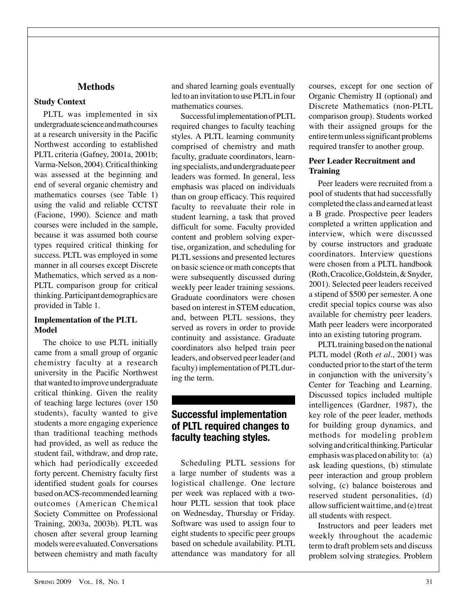## **Methods**

## **Study Context**

PLTL was implemented in six undergraduate science and math courses at a research university in the Pacific Northwest according to established PLTL criteria (Gafney, 2001a, 2001b; Varma-Nelson, 2004). Critical thinking was assessed at the beginning and end of several organic chemistry and mathematics courses (see Table 1) using the valid and reliable CCTST (Facione, 1990). Science and math courses were included in the sample, because it was assumed both course types required critical thinking for success. PLTL was employed in some manner in all courses except Discrete Mathematics, which served as a non-PLTL comparison group for critical thinking. Participant demographics are provided in Table 1.

## **Implementation of the PLTL Model**

The choice to use PLTL initially came from a small group of organic chemistry faculty at a research university in the Pacific Northwest that wanted to improve undergraduate critical thinking. Given the reality of teaching large lectures (over 150 students), faculty wanted to give students a more engaging experience than traditional teaching methods had provided, as well as reduce the student fail, withdraw, and drop rate, which had periodically exceeded forty percent. Chemistry faculty first identified student goals for courses based on ACS-recommended learning outcomes (American Chemical Society Committee on Professional Training, 2003a, 2003b). PLTL was chosen after several group learning models were evaluated. Conversations between chemistry and math faculty and shared learning goals eventually led to an invitation to use PLTL in four mathematics courses.

Successful implementation of PLTL required changes to faculty teaching styles. A PLTL learning community comprised of chemistry and math faculty, graduate coordinators, learning specialists, and undergraduate peer leaders was formed. In general, less emphasis was placed on individuals than on group efficacy. This required faculty to reevaluate their role in student learning, a task that proved difficult for some. Faculty provided content and problem solving expertise, organization, and scheduling for PLTL sessions and presented lectures on basic science or math concepts that were subsequently discussed during weekly peer leader training sessions. Graduate coordinators were chosen based on interest in STEM education, and, between PLTL sessions, they served as rovers in order to provide continuity and assistance. Graduate coordinators also helped train peer leaders, and observed peer leader (and faculty) implementation of PLTL during the term.

## **Successful implementation of PLTL required changes to faculty teaching styles.**

Scheduling PLTL sessions for a large number of students was a logistical challenge. One lecture per week was replaced with a twohour PLTL session that took place on Wednesday, Thursday or Friday. Software was used to assign four to eight students to specific peer groups based on schedule availability. PLTL attendance was mandatory for all

courses, except for one section of Organic Chemistry II (optional) and Discrete Mathematics (non-PLTL comparison group). Students worked with their assigned groups for the entire term unless significant problems required transfer to another group.

## **Peer Leader Recruitment and Training**

Peer leaders were recruited from a pool of students that had successfully completed the class and earned at least a B grade. Prospective peer leaders completed a written application and interview, which were discussed by course instructors and graduate coordinators. Interview questions were chosen from a PLTL handbook (Roth, Cracolice, Goldstein, & Snyder, 2001). Selected peer leaders received a stipend of \$500 per semester. A one credit special topics course was also available for chemistry peer leaders. Math peer leaders were incorporated into an existing tutoring program.

PLTL training based on the national PLTL model (Roth *et al.*, 2001) was conducted prior to the start of the term in conjunction with the university's Center for Teaching and Learning. Discussed topics included multiple intelligences (Gardner, 1987), the key role of the peer leader, methods for building group dynamics, and methods for modeling problem solving and critical thinking. Particular emphasis was placed on ability to: (a) ask leading questions, (b) stimulate peer interaction and group problem solving, (c) balance boisterous and reserved student personalities, (d) allow sufficient wait time, and (e) treat all students with respect.

Instructors and peer leaders met weekly throughout the academic term to draft problem sets and discuss problem solving strategies. Problem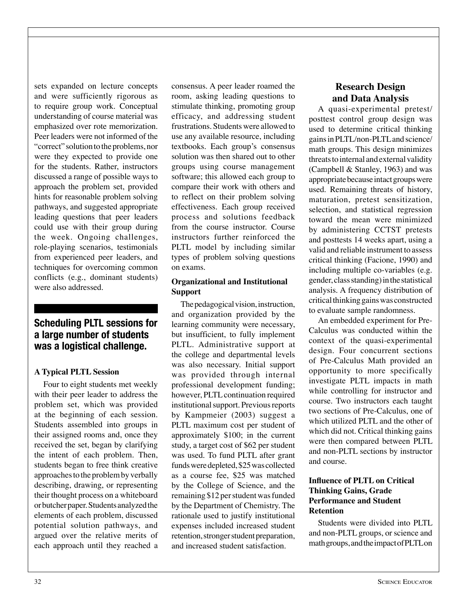sets expanded on lecture concepts and were sufficiently rigorous as to require group work. Conceptual understanding of course material was emphasized over rote memorization. Peer leaders were not informed of the "correct" solution to the problems, nor were they expected to provide one for the students. Rather, instructors discussed a range of possible ways to approach the problem set, provided hints for reasonable problem solving pathways, and suggested appropriate leading questions that peer leaders could use with their group during the week. Ongoing challenges, role-playing scenarios, testimonials from experienced peer leaders, and techniques for overcoming common conflicts (e.g., dominant students) were also addressed.

## **Scheduling PLTL sessions for a large number of students was a logistical challenge.**

#### **A Typical PLTL Session**

Four to eight students met weekly with their peer leader to address the problem set, which was provided at the beginning of each session. Students assembled into groups in their assigned rooms and, once they received the set, began by clarifying the intent of each problem. Then, students began to free think creative approaches to the problem by verbally describing, drawing, or representing their thought process on a whiteboard or butcher paper. Students analyzed the elements of each problem, discussed potential solution pathways, and argued over the relative merits of each approach until they reached a consensus. A peer leader roamed the room, asking leading questions to stimulate thinking, promoting group efficacy, and addressing student frustrations. Students were allowed to use any available resource, including textbooks. Each group's consensus solution was then shared out to other groups using course management software; this allowed each group to compare their work with others and to reflect on their problem solving effectiveness. Each group received process and solutions feedback from the course instructor. Course instructors further reinforced the PLTL model by including similar types of problem solving questions on exams.

## **Organizational and Institutional Support**

The pedagogical vision, instruction, and organization provided by the learning community were necessary, but insufficient, to fully implement PLTL. Administrative support at the college and departmental levels was also necessary. Initial support was provided through internal professional development funding; however, PLTL continuation required institutional support. Previous reports by Kampmeier (2003) suggest a PLTL maximum cost per student of approximately \$100; in the current study, a target cost of \$62 per student was used. To fund PLTL after grant funds were depleted, \$25 was collected as a course fee, \$25 was matched by the College of Science, and the remaining \$12 per student was funded by the Department of Chemistry. The rationale used to justify institutional expenses included increased student retention, stronger student preparation, and increased student satisfaction.

## **Research Design and Data Analysis**

A quasi-experimental pretest/ posttest control group design was used to determine critical thinking gains in PLTL/non-PLTL and science/ math groups. This design minimizes threats to internal and external validity (Campbell & Stanley, 1963) and was appropriate because intact groups were used. Remaining threats of history, maturation, pretest sensitization, selection, and statistical regression toward the mean were minimized by administering CCTST pretests and posttests 14 weeks apart, using a valid and reliable instrument to assess critical thinking (Facione, 1990) and including multiple co-variables (e.g. gender, class standing) in the statistical analysis. A frequency distribution of critical thinking gains was constructed to evaluate sample randomness.

An embedded experiment for Pre-Calculus was conducted within the context of the quasi-experimental design. Four concurrent sections of Pre-Calculus Math provided an opportunity to more specifically investigate PLTL impacts in math while controlling for instructor and course. Two instructors each taught two sections of Pre-Calculus, one of which utilized PLTL and the other of which did not. Critical thinking gains were then compared between PLTL and non-PLTL sections by instructor and course.

## **Influence of PLTL on Critical Thinking Gains, Grade Performance and Student Retention**

Students were divided into PLTL and non-PLTL groups, or science and math groups, and the impact of PLTL on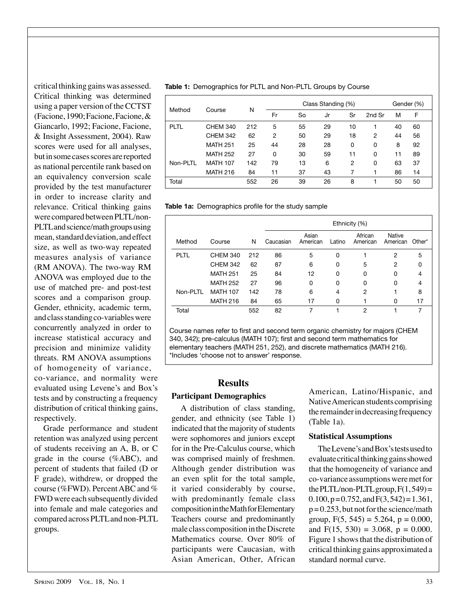critical thinking gains was assessed. Critical thinking was determined using a paper version of the CCTST (Facione, 1990; Facione, Facione, & Giancarlo, 1992; Facione, Facione, & Insight Assessment, 2004). Raw scores were used for all analyses, but in some cases scores are reported as national percentile rank based on an equivalency conversion scale provided by the test manufacturer in order to increase clarity and relevance. Critical thinking gains were compared between PLTL/non-PLTL and science/math groups using mean, standard deviation, and effect size, as well as two-way repeated measures analysis of variance (RM ANOVA). The two-way RM ANOVA was employed due to the use of matched pre- and post-test scores and a comparison group. Gender, ethnicity, academic term, and class standing co-variables were concurrently analyzed in order to increase statistical accuracy and precision and minimize validity threats. RM ANOVA assumptions of homogeneity of variance, co-variance, and normality were evaluated using Levene's and Box's tests and by constructing a frequency distribution of critical thinking gains, respectively.

Grade performance and student retention was analyzed using percent of students receiving an A, B, or C grade in the course (%ABC), and percent of students that failed (D or F grade), withdrew, or dropped the course (%FWD). Percent ABC and % FWD were each subsequently divided into female and male categories and compared across PLTL and non-PLTL groups.

**Table 1:** Demographics for PLTL and Non-PLTL Groups by Course

| Method   | Course          | N   | Class Standing (%) |    |    |                |        |    | Gender (%) |  |
|----------|-----------------|-----|--------------------|----|----|----------------|--------|----|------------|--|
|          |                 |     | Fr                 | So | Jr | Sr             | 2nd Sr | M  | F          |  |
| PLTL     | <b>CHEM 340</b> | 212 | 5                  | 55 | 29 | 10             |        | 40 | 60         |  |
|          | <b>CHEM 342</b> | 62  | $\overline{2}$     | 50 | 29 | 18             | 2      | 44 | 56         |  |
|          | <b>MATH 251</b> | 25  | 44                 | 28 | 28 | 0              | 0      | 8  | 92         |  |
|          | <b>MATH 252</b> | 27  | 0                  | 30 | 59 | 11             | 0      | 11 | 89         |  |
| Non-PLTL | <b>MATH 107</b> | 142 | 79                 | 13 | 6  | $\overline{2}$ | 0      | 63 | 37         |  |
|          | <b>MATH 216</b> | 84  | 11                 | 37 | 43 | 7              |        | 86 | 14         |  |
| Total    |                 | 552 | 26                 | 39 | 26 | 8              |        | 50 | 50         |  |

**Table 1a:** Demographics profile for the study sample

|             |                 |     | Ethnicity (%) |                   |        |                     |                    |        |  |  |
|-------------|-----------------|-----|---------------|-------------------|--------|---------------------|--------------------|--------|--|--|
| Method      | Course          | N   | Caucasian     | Asian<br>American | Latino | African<br>American | Native<br>American | Other* |  |  |
| <b>PLTL</b> | <b>CHEM 340</b> | 212 | 86            | 5                 | 0      |                     | 2                  | 5      |  |  |
|             | <b>CHEM 342</b> | 62  | 87            | 6                 | 0      | 5                   | $\overline{2}$     | 0      |  |  |
|             | <b>MATH 251</b> | 25  | 84            | 12                | 0      | 0                   | 0                  | 4      |  |  |
|             | <b>MATH 252</b> | 27  | 96            | 0                 | 0      | 0                   | 0                  | 4      |  |  |
| Non-PLTL    | <b>MATH 107</b> | 142 | 78            | 6                 | 4      | 2                   |                    | 8      |  |  |
|             | <b>MATH 216</b> | 84  | 65            | 17                | 0      |                     | 0                  | 17     |  |  |
| Total       |                 | 552 | 82            | 7                 |        | 2                   |                    | 7      |  |  |

Course names refer to first and second term organic chemistry for majors (CHEM 340, 342); pre-calculus (MATH 107); first and second term mathematics for elementary teachers (MATH 251, 252), and discrete mathematics (MATH 216). \*Includes 'choose not to answer' response.

## **Results**

#### **Participant Demographics**

A distribution of class standing, gender, and ethnicity (see Table 1) indicated that the majority of students were sophomores and juniors except for in the Pre-Calculus course, which was comprised mainly of freshmen. Although gender distribution was an even split for the total sample, it varied considerably by course, with predominantly female class composition in the Math for Elementary Teachers course and predominantly male class composition in the Discrete Mathematics course. Over 80% of participants were Caucasian, with Asian American, Other, African

American, Latino/Hispanic, and Native American students comprising the remainder in decreasing frequency (Table 1a).

## **Statistical Assumptions**

The Levene's and Box's tests used to evaluate critical thinking gains showed that the homogeneity of variance and co-variance assumptions were met for the PLTL/non-PLTL group,  $F(1, 549) =$  $0.100$ ,  $p = 0.752$ , and  $F(3, 542) = 1.361$ ,  $p = 0.253$ , but not for the science/math group,  $F(5, 545) = 5.264$ ,  $p = 0.000$ , and  $F(15, 530) = 3.068$ ,  $p = 0.000$ . Figure 1 shows that the distribution of critical thinking gains approximated a standard normal curve.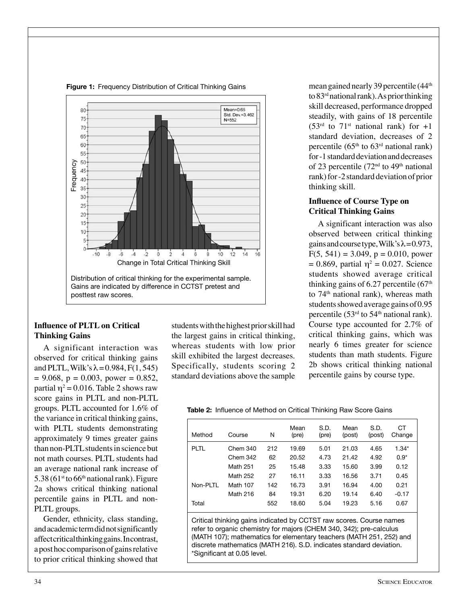

*Frequency Distribution of Critical Thinking Gains*  **Figure 1:** Frequency Distribution of Critical Thinking Gains

#### **Influence of PLTL on Critical Thinking Gains**

A significant interaction was observed for critical thinking gains and PLTL, Wilk's  $\lambda$  = 0.984, F(1, 545)  $= 9.068$ ,  $p = 0.003$ , power  $= 0.852$ , partial  $\eta^2$  = 0.016. Table 2 shows raw score gains in PLTL and non-PLTL groups. PLTL accounted for 1.6% of the variance in critical thinking gains, with PLTL students demonstrating approximately 9 times greater gains than non-PLTL students in science but not math courses. PLTL students had an average national rank increase of  $5.38$  (61<sup>st</sup> to 66<sup>th</sup> national rank). Figure 2a shows critical thinking national percentile gains in PLTL and non-PLTL groups.

Gender, ethnicity, class standing, and academic term did not significantly affect critical thinking gains. In contrast, a post hoc comparison of gains relative to prior critical thinking showed that students with the highest prior skill had the largest gains in critical thinking, whereas students with low prior skill exhibited the largest decreases. Specifically, students scoring 2 standard deviations above the sample

mean gained nearly 39 percentile (44th to 83rd national rank). As prior thinking skill decreased, performance dropped steadily, with gains of 18 percentile  $(53<sup>rd</sup>$  to  $71<sup>st</sup>$  national rank) for  $+1$ standard deviation, decreases of 2 percentile ( $65<sup>th</sup>$  to  $63<sup>rd</sup>$  national rank) for -1 standard deviation and decreases of 23 percentile (72<sup>nd</sup> to 49<sup>th</sup> national rank) for -2 standard deviation of prior thinking skill.

#### **Influence of Course Type on Critical Thinking Gains**

A significant interaction was also observed between critical thinking gains and course type, Wilk's  $\lambda$  = 0.973,  $F(5, 541) = 3.049$ ,  $p = 0.010$ , power  $= 0.869$ , partial  $\eta^2 = 0.027$ . Science students showed average critical thinking gains of  $6.27$  percentile  $(67<sup>th</sup>$ to  $74<sup>th</sup>$  national rank), whereas math students showed average gains of 0.95 percentile (53 $^{rd}$  to 54<sup>th</sup> national rank). Course type accounted for 2.7% of critical thinking gains, which was nearly 6 times greater for science students than math students. Figure 2b shows critical thinking national percentile gains by course type.

|  | <b>Table 2:</b> Influence of Method on Critical Thinking Raw Score Gains |  |  |
|--|--------------------------------------------------------------------------|--|--|

| Method                                                                                                                                                                                                                                                                                                                  | Course   | N   | Mean<br>(pre) | S.D.<br>(pre) | Mean<br>(post) | S.D.<br>(post) | СT<br>Change |  |  |  |
|-------------------------------------------------------------------------------------------------------------------------------------------------------------------------------------------------------------------------------------------------------------------------------------------------------------------------|----------|-----|---------------|---------------|----------------|----------------|--------------|--|--|--|
| PLTL                                                                                                                                                                                                                                                                                                                    | Chem 340 | 212 | 19.69         | 5.01          | 21.03          | 4.65           | $1.34*$      |  |  |  |
|                                                                                                                                                                                                                                                                                                                         | Chem 342 | 62  | 20.52         | 4.73          | 21.42          | 4.92           | $0.9*$       |  |  |  |
|                                                                                                                                                                                                                                                                                                                         | Math 251 | 25  | 15.48         | 3.33          | 15.60          | 3.99           | 0.12         |  |  |  |
|                                                                                                                                                                                                                                                                                                                         | Math 252 | 27  | 16.11         | 3.33          | 16.56          | 3.71           | 0.45         |  |  |  |
| Non-PLTL                                                                                                                                                                                                                                                                                                                | Math 107 | 142 | 16.73         | 3.91          | 16.94          | 4.00           | 0.21         |  |  |  |
|                                                                                                                                                                                                                                                                                                                         | Math 216 | 84  | 19.31         | 6.20          | 19.14          | 6.40           | $-0.17$      |  |  |  |
| Total                                                                                                                                                                                                                                                                                                                   |          | 552 | 18.60         | 5.04          | 19.23          | 5.16           | 0.67         |  |  |  |
| Critical thinking gains indicated by CCTST raw scores. Course names<br>refer to organic chemistry for majors (CHEM 340, 342); pre-calculus<br>(MATH 107); mathematics for elementary teachers (MATH 251, 252) and<br>discrete mathematics (MATH 216). S.D. indicates standard deviation.<br>*Significant at 0.05 level. |          |     |               |               |                |                |              |  |  |  |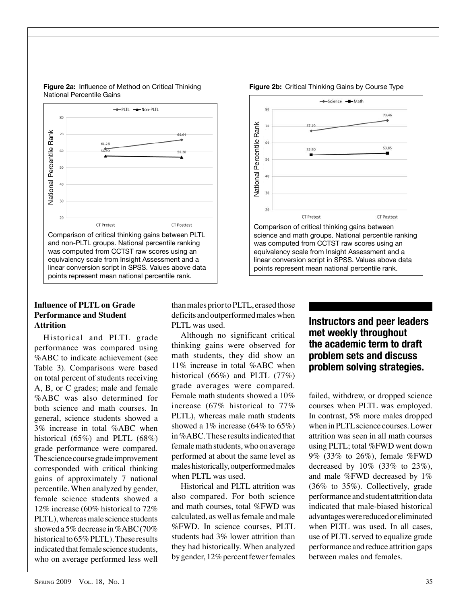

#### **Figure 2a:** Influence of Method on Critical Thinking National Percentile Gains PLTL and Critical Thinking 14

#### **Influence of PLTL on Grade** than males pr **Performance and Student** deficits and o **Attrition** rition **rank** performance decreased, performance decreased, performance decreased,  $PLTL$  was used.

Historical and PLTL grade performance was compared using %ABC to indicate achievement (see Table 3). Comparisons were based on total percent of students receiving A, B, or C grades; male and female %ABC was also determined for both science and math courses. In general, science students showed a 3% increase in total %ABC when historical (65%) and PLTL (68%) grade performance were compared. The science course grade improvement corresponded with critical thinking gains of approximately 7 national percentile. When analyzed by gender, female science students showed a 12% increase (60% historical to 72% PLTL), whereas male science students showed a 5% decrease in %ABC (70% historical to 65% PLTL). These results indicated that female science students, who on average performed less well than males prior to PLTL, erased those deficits and outperformed males when **the science conductors** and need headers

Although no significant critical thinking gains were observed for math students, they did show an 11% increase in total %ABC when historical (66%) and PLTL (77%) grade averages were compared. Female math students showed a 10% increase (67% historical to 77% PLTL), whereas male math students showed a 1% increase  $(64\% \text{ to } 65\%)$ in %ABC. These results indicated that female math students, who on average performed at about the same level as males historically, outperformed males when PLTL was used.

Historical and PLTL attrition was also compared. For both science and math courses, total %FWD was calculated, as well as female and male %FWD. In science courses, PLTL students had 3% lower attrition than they had historically. When analyzed by gender, 12% percent fewer females



**Figure 2b:** Critical Thinking Gains by Course Type

## d mates when **Instructors and peer leaders cant critical met weekly throughout the academic term to draft problem sets and discuss problem solving strategies.**

failed, withdrew, or dropped science courses when PLTL was employed. In contrast, 5% more males dropped when in PLTL science courses. Lower attrition was seen in all math courses using PLTL; total %FWD went down 9% (33% to 26%), female %FWD decreased by 10% (33% to 23%), and male %FWD decreased by 1% (36% to 35%). Collectively, grade performance and student attrition data indicated that male-biased historical advantages were reduced or eliminated when PLTL was used. In all cases, use of PLTL served to equalize grade performance and reduce attrition gaps between males and females.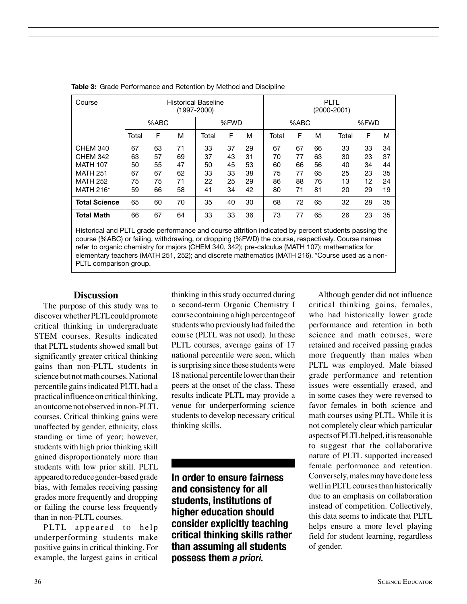| Course               | <b>Historical Baseline</b><br>(1997-2000) |    |    |       |    |    | <b>PLTL</b><br>$(2000 - 2001)$ |    |    |       |    |    |
|----------------------|-------------------------------------------|----|----|-------|----|----|--------------------------------|----|----|-------|----|----|
|                      | %ABC                                      |    |    | %FWD  |    |    | %ABC                           |    |    | %FWD  |    |    |
|                      | Total                                     | F  | M  | Total | F  | M  | Total                          | F  | M  | Total | F  | м  |
| <b>CHEM 340</b>      | 67                                        | 63 | 71 | 33    | 37 | 29 | 67                             | 67 | 66 | 33    | 33 | 34 |
| <b>CHEM 342</b>      | 63                                        | 57 | 69 | 37    | 43 | 31 | 70                             | 77 | 63 | 30    | 23 | 37 |
| <b>MATH 107</b>      | 50                                        | 55 | 47 | 50    | 45 | 53 | 60                             | 66 | 56 | 40    | 34 | 44 |
| <b>MATH 251</b>      | 67                                        | 67 | 62 | 33    | 33 | 38 | 75                             | 77 | 65 | 25    | 23 | 35 |
| <b>MATH 252</b>      | 75                                        | 75 | 71 | 22    | 25 | 29 | 86                             | 88 | 76 | 13    | 12 | 24 |
| MATH 216*            | 59                                        | 66 | 58 | 41    | 34 | 42 | 80                             | 71 | 81 | 20    | 29 | 19 |
| <b>Total Science</b> | 65                                        | 60 | 70 | 35    | 40 | 30 | 68                             | 72 | 65 | 32    | 28 | 35 |
| <b>Total Math</b>    | 66                                        | 67 | 64 | 33    | 33 | 36 | 73                             | 77 | 65 | 26    | 23 | 35 |

**Table 3:** Grade Performance and Retention by Method and Discipline

Historical and PLTL grade performance and course attrition indicated by percent students passing the course (%ABC) or failing, withdrawing, or dropping (%FWD) the course, respectively. Course names refer to organic chemistry for majors (CHEM 340, 342); pre-calculus (MATH 107); mathematics for elementary teachers (MATH 251, 252); and discrete mathematics (MATH 216). \*Course used as a non-PLTL comparison group.

#### **Discussion**

The purpose of this study was to discover whether PLTL could promote critical thinking in undergraduate STEM courses. Results indicated that PLTL students showed small but significantly greater critical thinking gains than non-PLTL students in science but not math courses. National percentile gains indicated PLTL had a practical influence on critical thinking, an outcome not observed in non-PLTL courses. Critical thinking gains were unaffected by gender, ethnicity, class standing or time of year; however, students with high prior thinking skill gained disproportionately more than students with low prior skill. PLTL appeared to reduce gender-based grade bias, with females receiving passing grades more frequently and dropping or failing the course less frequently than in non-PLTL courses.

PLTL appeared to help underperforming students make positive gains in critical thinking. For example, the largest gains in critical thinking in this study occurred during a second-term Organic Chemistry I course containing a high percentage of students who previously had failed the course (PLTL was not used). In these PLTL courses, average gains of 17 national percentile were seen, which is surprising since these students were 18 national percentile lower than their peers at the onset of the class. These results indicate PLTL may provide a venue for underperforming science students to develop necessary critical thinking skills.

**In order to ensure fairness and consistency for all students, institutions of higher education should consider explicitly teaching critical thinking skills rather than assuming all students possess them** *a priori.*

Although gender did not influence critical thinking gains, females, who had historically lower grade performance and retention in both science and math courses, were retained and received passing grades more frequently than males when PLTL was employed. Male biased grade performance and retention issues were essentially erased, and in some cases they were reversed to favor females in both science and math courses using PLTL. While it is not completely clear which particular aspects of PLTL helped, it is reasonable to suggest that the collaborative nature of PLTL supported increased female performance and retention. Conversely, males may have done less well in PLTL courses than historically due to an emphasis on collaboration instead of competition. Collectively, this data seems to indicate that PLTL helps ensure a more level playing field for student learning, regardless of gender.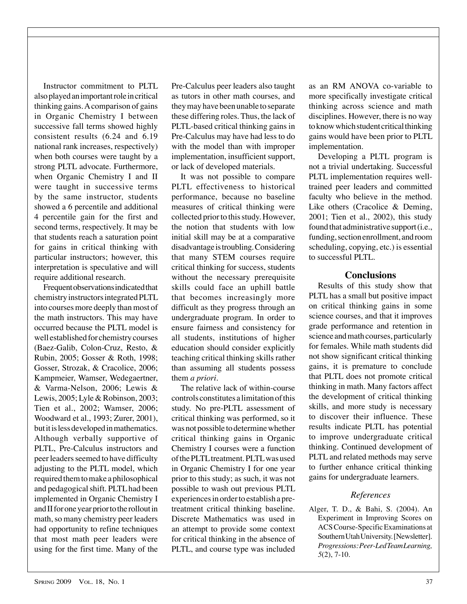Instructor commitment to PLTL also played an important role in critical thinking gains. A comparison of gains in Organic Chemistry I between successive fall terms showed highly consistent results (6.24 and 6.19 national rank increases, respectively) when both courses were taught by a strong PLTL advocate. Furthermore, when Organic Chemistry I and II were taught in successive terms by the same instructor, students showed a 6 percentile and additional 4 percentile gain for the first and second terms, respectively. It may be that students reach a saturation point for gains in critical thinking with particular instructors; however, this interpretation is speculative and will require additional research.

Frequent observations indicated that chemistry instructors integrated PLTL into courses more deeply than most of the math instructors. This may have occurred because the PLTL model is well established for chemistry courses (Baez-Galib, Colon-Cruz, Resto, & Rubin, 2005; Gosser & Roth, 1998; Gosser, Strozak, & Cracolice, 2006; Kampmeier, Wamser, Wedegaertner, & Varma-Nelson, 2006; Lewis & Lewis, 2005; Lyle & Robinson, 2003; Tien et al., 2002; Wamser, 2006; Woodward et al., 1993; Zurer, 2001), but it is less developed in mathematics. Although verbally supportive of PLTL, Pre-Calculus instructors and peer leaders seemed to have difficulty adjusting to the PLTL model, which required them to make a philosophical and pedagogical shift. PLTL had been implemented in Organic Chemistry I and II for one year prior to the rollout in math, so many chemistry peer leaders had opportunity to refine techniques that most math peer leaders were using for the first time. Many of the

Pre-Calculus peer leaders also taught as tutors in other math courses, and they may have been unable to separate these differing roles. Thus, the lack of PLTL-based critical thinking gains in Pre-Calculus may have had less to do with the model than with improper implementation, insufficient support, or lack of developed materials.

It was not possible to compare PLTL effectiveness to historical performance, because no baseline measures of critical thinking were collected prior to this study. However, the notion that students with low initial skill may be at a comparative disadvantage is troubling. Considering that many STEM courses require critical thinking for success, students without the necessary prerequisite skills could face an uphill battle that becomes increasingly more difficult as they progress through an undergraduate program. In order to ensure fairness and consistency for all students, institutions of higher education should consider explicitly teaching critical thinking skills rather than assuming all students possess them *a priori*.

The relative lack of within-course controls constitutes a limitation of this study. No pre-PLTL assessment of critical thinking was performed, so it was not possible to determine whether critical thinking gains in Organic Chemistry I courses were a function of the PLTL treatment. PLTL was used in Organic Chemistry I for one year prior to this study; as such, it was not possible to wash out previous PLTL experiences in order to establish a pretreatment critical thinking baseline. Discrete Mathematics was used in an attempt to provide some context for critical thinking in the absence of PLTL, and course type was included

as an RM ANOVA co-variable to more specifically investigate critical thinking across science and math disciplines. However, there is no way to know which student critical thinking gains would have been prior to PLTL implementation.

Developing a PLTL program is not a trivial undertaking. Successful PLTL implementation requires welltrained peer leaders and committed faculty who believe in the method. Like others (Cracolice & Deming, 2001; Tien et al., 2002), this study found that administrative support (i.e., funding, section enrollment, and room scheduling, copying, etc.) is essential to successful PLTL.

## **Conclusions**

Results of this study show that PLTL has a small but positive impact on critical thinking gains in some science courses, and that it improves grade performance and retention in science and math courses, particularly for females. While math students did not show significant critical thinking gains, it is premature to conclude that PLTL does not promote critical thinking in math. Many factors affect the development of critical thinking skills, and more study is necessary to discover their influence. These results indicate PLTL has potential to improve undergraduate critical thinking. Continued development of PLTL and related methods may serve to further enhance critical thinking gains for undergraduate learners.

## *References*

Alger, T. D., & Bahi, S. (2004). An Experiment in Improving Scores on ACS Course-Specific Examinations at Southern Utah University. [Newsletter]. *Progressions: Peer-Led Team Learning, 5*(2), 7-10.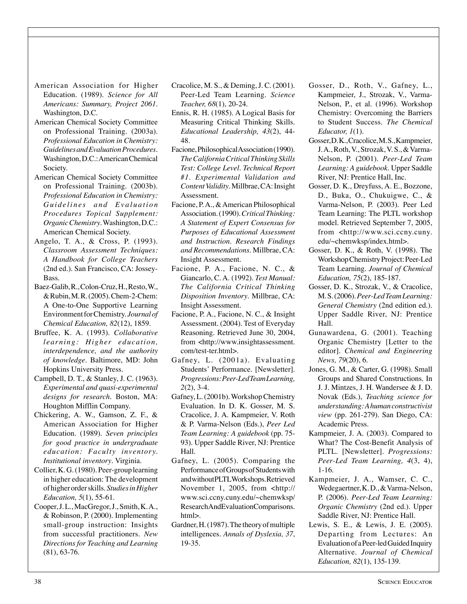- American Association for Higher Education. (1989). *Science for All Americans: Summary, Project 2061*. Washington, D.C.
- American Chemical Society Committee on Professional Training. (2003a). *Professional Education in Chemistry: Guidelines and Evaluation Procedures*. Washington, D.C.: American Chemical Society.
- American Chemical Society Committee on Professional Training. (2003b). *Professional Education in Chemistry:*   $Guidelines$  and Evaluation *Procedures Topical Supplement: Organic Chemistry*. Washington, D.C.: American Chemical Society.
- Angelo, T. A., & Cross, P. (1993). *Classroom Assessment Techniques: A Handbook for College Teachers* (2nd ed.). San Francisco, CA: Jossey-Bass.
- Baez-Galib, R., Colon-Cruz, H., Resto, W., & Rubin, M. R. (2005). Chem-2-Chem: A One-to-One Supportive Learning Environment for Chemistry. *Journal of Chemical Education, 82*(12), 1859.
- Bruffee, K. A. (1993). *Collaborative learning: Higher education, interdependence, and the authority of knowledge*. Baltimore, MD: John Hopkins University Press.
- Campbell, D. T., & Stanley, J. C. (1963). *Experimental and quasi-experimental designs for research*. Boston, MA: Houghton Mifflin Company.
- Chickering, A. W., Gamson, Z. F., & American Association for Higher Education. (1989). *Seven principles for good practice in undergraduate education: Faculty inventory. Institutional inventory*. Virginia.
- Collier, K. G. (1980). Peer-group learning in higher education: The development of higher order skills. *Studies in Higher Education, 5*(1), 55-61.
- Cooper, J. L., MacGregor, J., Smith, K. A., & Robinson, P. (2000). Implementing small-group instruction: Insights from successful practitioners. *New Directions for Teaching and Learning*  (81), 63-76.
- Cracolice, M. S., & Deming, J. C. (2001). Peer-Led Team Learning. *Science Teacher, 68*(1), 20-24.
- Ennis, R. H. (1985). A Logical Basis for Measuring Critical Thinking Skills. *Educational Leadership, 43*(2), 44- 48.
- Facione, Philosophical Association (1990). *The California Critical Thinking Skills Test: College Level. Technical Report #1. Experimental Validation and Content Validity*. Millbrae, CA: Insight Assessment.
- Facione, P. A., & American Philosophical Association. (1990). *Critical Thinking: A Statement of Expert Consensus for Purposes of Educational Assessment and Instruction. Research Findings and Recommendations*. Millbrae, CA: Insight Assessment.
- Facione, P. A., Facione, N. C., & Giancarlo, C. A. (1992). *Test Manual: The California Critical Thinking Disposition Inventory*. Millbrae, CA: Insight Assessment.
- Facione, P. A., Facione, N. C., & Insight Assessment. (2004). Test of Everyday Reasoning. Retrieved June 30, 2004, from <http://www.insightassessment. com/test-ter.html>.
- Gafney, L. (2001a). Evaluating Students' Performance. [Newsletter]. *Progressions: Peer-Led Team Learning, 2*(2), 3-4.
- Gafney, L. (2001b). Workshop Chemistry Evaluation. In D. K. Gosser, M. S. Cracolice, J. A. Kampmeier, V. Roth & P. Varma-Nelson (Eds.), *Peer Led Team Learning: A guidebook* (pp. 75- 93). Upper Saddle River, NJ: Prentice Hall.
- Gafney, L. (2005). Comparing the Performance of Groups of Students with and without PLTL Workshops. Retrieved November 1, 2005, from <http:// www.sci.ccny.cuny.edu/~chemwksp/ ResearchAndEvaluationComparisons. html>.
- Gardner, H. (1987). The theory of multiple intelligences. *Annals of Dyslexia, 37*, 19-35.
- Gosser, D., Roth, V., Gafney, L., Kampmeier, J., Strozak, V., Varma-Nelson, P., et al. (1996). Workshop Chemistry: Overcoming the Barriers to Student Success. *The Chemical Educator, 1*(1).
- Gosser, D. K., Cracolice, M. S., Kampmeier, J. A., Roth, V., Strozak, V. S., & Varma-Nelson, P. (2001). *Peer-Led Team Learning: A guidebook*. Upper Saddle River, NJ: Prentice Hall, Inc.
- Gosser, D. K., Dreyfuss, A. E., Bozzone, D., Buka, O., Chukuigwe, C., & Varma-Nelson, P. (2003). Peer Led Team Learning: The PLTL workshop model. Retrieved September 7, 2005, from <http://www.sci.ccny.cuny. edu/~chemwksp/index.html>.
- Gosser, D. K., & Roth, V. (1998). The Workshop Chemistry Project: Peer-Led Team Learning. *Journal of Chemical Education, 75*(2), 185-187.
- Gosser, D. K., Strozak, V., & Cracolice, M. S. (2006). *Peer-Led Team Learning: General Chemistry* (2nd edition ed.). Upper Saddle River, NJ: Prentice Hall.
- Gunawardena, G. (2001). Teaching Organic Chemistry [Letter to the editor]. *Chemical and Engineering News, 79*(20), 6.
- Jones, G. M., & Carter, G. (1998). Small Groups and Shared Constructions. In J. J. Mintzes, J. H. Wandersee & J. D. Novak (Eds.), *Teaching science for understanding: A human constructivist view* (pp. 261-279). San Diego, CA: Academic Press.
- Kampmeier, J. A. (2003). Compared to What? The Cost-Benefit Analysis of PLTL. [Newsletter]. *Progressions: Peer-Led Team Learning, 4*(3, 4), 1-16.
- Kampmeier, J. A., Wamser, C. C., Wedegaertner, K. D., & Varma-Nelson, P. (2006). *Peer-Led Team Learning: Organic Chemistry* (2nd ed.). Upper Saddle River, NJ: Prentice Hall.
- Lewis, S. E., & Lewis, J. E. (2005). Departing from Lectures: An Evaluation of a Peer-led Guided Inquiry Alternative. *Journal of Chemical Education, 82*(1), 135-139.